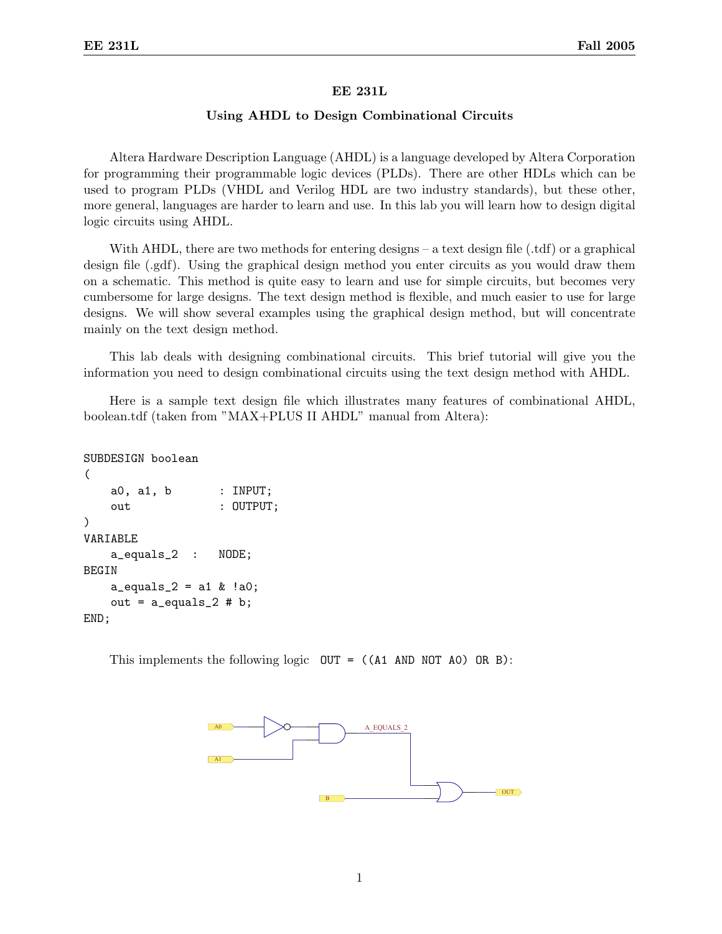## EE 231L

## Using AHDL to Design Combinational Circuits

Altera Hardware Description Language (AHDL) is a language developed by Altera Corporation for programming their programmable logic devices (PLDs). There are other HDLs which can be used to program PLDs (VHDL and Verilog HDL are two industry standards), but these other, more general, languages are harder to learn and use. In this lab you will learn how to design digital logic circuits using AHDL.

With AHDL, there are two methods for entering designs – a text design file (.tdf) or a graphical design file (.gdf). Using the graphical design method you enter circuits as you would draw them on a schematic. This method is quite easy to learn and use for simple circuits, but becomes very cumbersome for large designs. The text design method is flexible, and much easier to use for large designs. We will show several examples using the graphical design method, but will concentrate mainly on the text design method.

This lab deals with designing combinational circuits. This brief tutorial will give you the information you need to design combinational circuits using the text design method with AHDL.

Here is a sample text design file which illustrates many features of combinational AHDL, boolean.tdf (taken from "MAX+PLUS II AHDL" manual from Altera):

```
SUBDESIGN boolean
(
   a0, a1, b : INPUT;
   out : OUTPUT;
)
VARIABLE
   a_equals_2 : NODE;
BEGIN
   a_equals_2 = a1 & !a0;
   out = a_equals_2 # b;END;
```
This implements the following logic  $OUT = ((A1 AND NOT A0) OR B)$ :

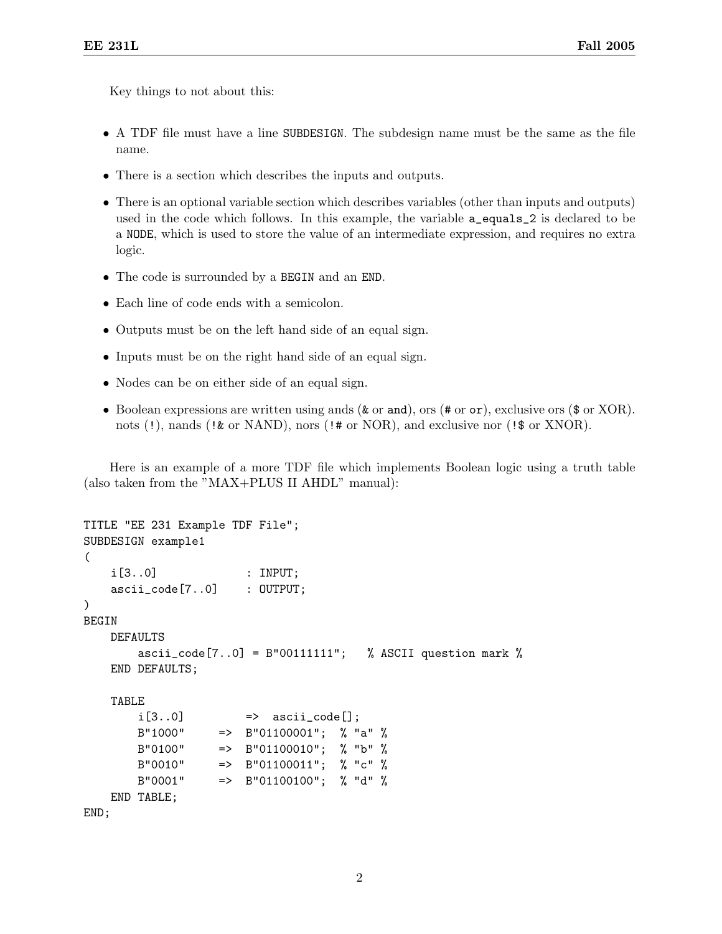Key things to not about this:

- A TDF file must have a line SUBDESIGN. The subdesign name must be the same as the file name.
- There is a section which describes the inputs and outputs.
- There is an optional variable section which describes variables (other than inputs and outputs) used in the code which follows. In this example, the variable a\_equals\_2 is declared to be a NODE, which is used to store the value of an intermediate expression, and requires no extra logic.
- The code is surrounded by a BEGIN and an END.
- Each line of code ends with a semicolon.
- Outputs must be on the left hand side of an equal sign.
- Inputs must be on the right hand side of an equal sign.
- Nodes can be on either side of an equal sign.
- Boolean expressions are written using ands (& or and), ors (# or or), exclusive ors (\$ or XOR). nots (!), nands (!& or NAND), nors (!# or NOR), and exclusive nor (!\$ or XNOR).

Here is an example of a more TDF file which implements Boolean logic using a truth table (also taken from the "MAX+PLUS II AHDL" manual):

```
TITLE "EE 231 Example TDF File";
SUBDESIGN example1
(
   i[3..0] : INPUT;
   ascii_code[7..0] : OUTPUT;
)
BEGIN
   DEFAULTS
       ascii_code[7..0] = B"00111111"; % ASCII question mark %
   END DEFAULTS;
   TABLE
       i[3..0] \Rightarrow ascii_code[];
       B"1000" => B"01100001"; % "a" %
       B"0100" => B"01100010"; % "b" %
       B''0010'' => B''01100011''; % "c" %
       B"0001" => B"01100100"; % "d" %
   END TABLE;
END;
```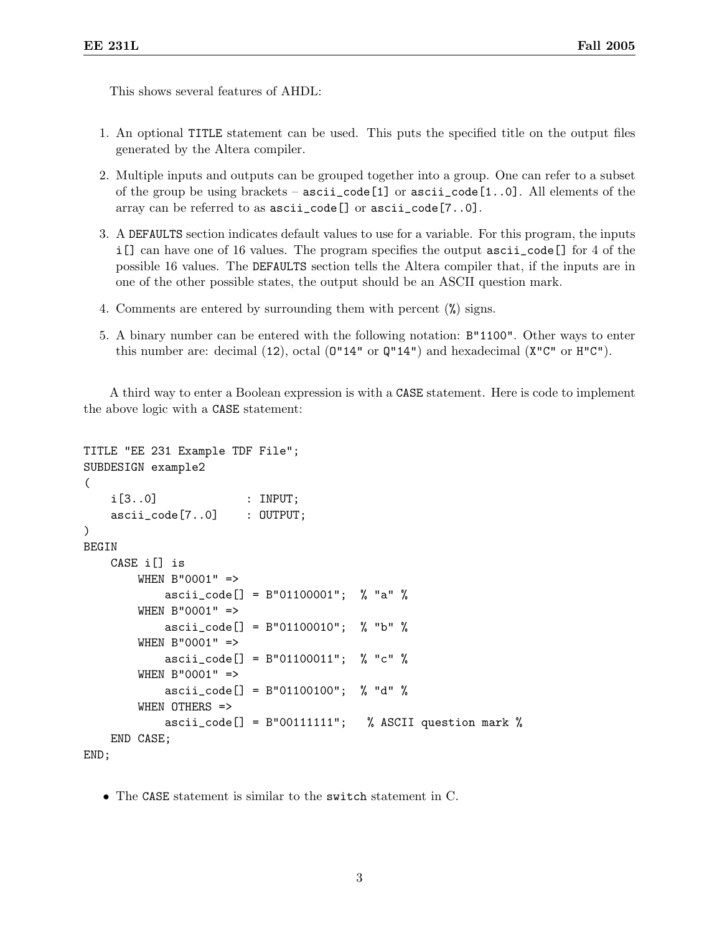This shows several features of AHDL:

- 1. An optional TITLE statement can be used. This puts the specified title on the output files generated by the Altera compiler.
- 2. Multiple inputs and outputs can be grouped together into a group. One can refer to a subset of the group be using brackets –  $asci \iota_{\text{code}}[1]$  or  $asci \iota_{\text{code}}[1..0]$ . All elements of the array can be referred to as ascii\_code[] or ascii\_code[7..0].
- 3. A DEFAULTS section indicates default values to use for a variable. For this program, the inputs i[] can have one of 16 values. The program specifies the output ascii\_code[] for 4 of the possible 16 values. The DEFAULTS section tells the Altera compiler that, if the inputs are in one of the other possible states, the output should be an ASCII question mark.
- 4. Comments are entered by surrounding them with percent (%) signs.
- 5. A binary number can be entered with the following notation: B"1100". Other ways to enter this number are: decimal  $(12)$ , octal  $(0"14"$  or  $Q"14"$ ) and hexadecimal  $(X''C''$  or  $H''C'$ ).

A third way to enter a Boolean expression is with a CASE statement. Here is code to implement the above logic with a CASE statement:

```
TITLE "EE 231 Example TDF File";
SUBDESIGN example2
(
    i[3..0] : INPUT;
    ascii_code[7..0] : OUTPUT;
)
BEGIN
    CASE i[] is
        WHEN B"0001" =>
            ascii_code[] = B"01100001"; % "a" %
        WHEN B"0001" =>
            ascii_code[] = B"01100010"; % "b" %
        WHEN B"0001" =>
            ascii_code[] = B"01100011"; % "c" %
        WHEN B"0001" =>
            \text{ascii\_code} = B"01100100"; % "d" %
        WHEN OTHERS =>
            ascii_code[] = B''00111111"; % ASCII question mark %
    END CASE;
END;
```
• The CASE statement is similar to the switch statement in C.